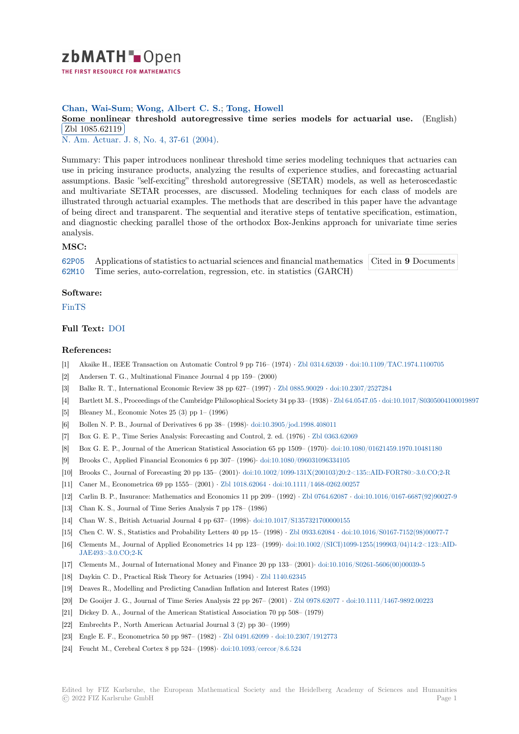

**Chan, Wai-Sum**; **Wong, Albert C. S.**; **Tong, Howell**

**[S](https://zbmath.org/)ome nonlinear threshold autoregressive time series models for actuarial use.** (English) Zbl 1085.62119

**EDI 1000.02113**<br>N. Am. Actuar. J. 8, No. 4, 37-61 (2004).

[Summary: This paper introduces nonlinear threshold time series modeling techniques that ac](https://zbmath.org/1085.62119)tuaries can [use in pricing insu](https://zbmath.org/1085.62119)rance products, analyzing the results of experience studies, and forecasting actuarial [assumptions. Basi](https://zbmath.org/journals/?q=se:3081)[c "self-exciting" thresho](https://zbmath.org/?q=in:111341)ld autoregressive (SETAR) models, as well as heteroscedastic and multivariate SETAR processes, are discussed. Modeling techniques for each class of models are illustrated through actuarial examples. The methods that are described in this paper have the advantage of being direct and transparent. The sequential and iterative steps of tentative specification, estimation, and diagnostic checking parallel those of the orthodox Box-Jenkins approach for univariate time series analysis.

## **MSC:**

62P05 Applications of statistics to actuarial sciences and financial mathematics 62M10 Time series, auto-correlation, regression, etc. in statistics (GARCH) Cited in **9** Documents

## **Software:**

[FinTS](https://zbmath.org/classification/?q=cc:62P05)

## **Full Text:** DOI

## **[Refer](https://swmath.org/software/11125)ences:**

- [1] Akaike H., IEEE Transaction on Automatic Control 9 pp 716– (1974) *·* Zbl 0314.62039 *·* doi:10.1109/TAC.1974.1100705
- [2] Andersen [T. G.](https://dx.doi.org/10.1080/10920277.2004.10596170), Multinational Finance Journal 4 pp 159– (2000)
- [3] Balke R. T., International Economic Review 38 pp 627– (1997) *·* Zbl 0885.90029 *·* doi:10.2307/2527284
- [4] Bartlett M. S., Proceedings of the Cambridge Philosophical Society 34 pp [33– \(1938\)](https://zbmath.org/0314.62039) *·* Zbl 64.0547.05 *·* [doi:10.1017/S030500](https://dx.doi.org/10.1109/TAC.1974.1100705)4100019897
- [5] Bleaney M., Economic Notes 25 (3) pp 1– (1996)
- [6] Bollen N. P. B., Journal of Derivatives 6 pp 38– (1998)*·* doi:10.3905/jod.1998.408011
- [7] Box G. E. P., Time Series Analysis: Forecasting and Control, 2. [ed. \(1976\)](https://zbmath.org/0885.90029) *·* Zbl 0[363.62069](https://dx.doi.org/10.2307/2527284)
- [8] Box G. E. P., Journal of the American Statistical Association 65 pp 1509– (1970)*·* [doi:10.1080/016](https://zbmath.org/64.0547.05)[21459.1970.10481180](https://dx.doi.org/10.1017/S0305004100019897)
- [9] Brooks C., Applied Financial Economics 6 pp 307– (1996)*·* doi:10.1080/096031096334105
- [10] Brooks C., Journal of Forecasting 20 pp 135– (2001)*·* do[i:10.1002/1099-131X\(200103\)](https://dx.doi.org/10.3905/jod.1998.408011)20:2<135::AID-FOR780>3.0.CO;2-R
- [11] Caner M., Econometrica 69 pp 1555– (2001) *·* Zbl 1018.62064 *·* doi:10.1111/[1468-0262.00257](https://zbmath.org/0363.62069)
- [12] Carlin B. P., Insurance: Mathematics and Economics 11 pp 209– (1992) *·* [Zbl 0764.62087](https://dx.doi.org/10.1080/096031096334105) *·* [doi:10.1016/0167-6687\(92\)900](https://dx.doi.org/10.1080/01621459.1970.10481180)27-9
- [13] Chan K. S., Journal of Time Series Analysis 7 pp 178– (1986)
- [14] Chan W. S., British Actuarial Journal 4 pp 637– (1998)*·* [doi:10.1017/S1357321700000155](https://dx.doi.org/10.1002/1099-131X(200103)20:2<135::AID-FOR780>3.0.CO;2-R)
- [15] Chen C. W. S., Statistics and Probability Let[ters 40 pp 15– \(](https://zbmath.org/1018.62064)1998) *·* [Zbl 0933.62084](https://dx.doi.org/10.1111/1468-0262.00257) *·* doi:10.1016/S0167-7152(98)00077-7
- [16] Clements M., Journal of Applied Econometrics 14 pp 123– (1999)*·* doi:1[0.1002/\(SICI\)10](https://zbmath.org/0764.62087)9[9-1255\(199903/04\)14:2<123::AID-](https://dx.doi.org/10.1016/0167-6687(92)90027-9)JAE493>3.0.CO;2-K
- [17] Clements M., Journal of International Money and Finan[ce 20 pp 133– \(2001\)](https://dx.doi.org/10.1017/S1357321700000155)*·* doi:10.1016/S0261-5606(00)00039-5
- [18] Daykin C. D., Practical Risk Theory for Actuaries (1994) *·* Zbl 1140.[62345](https://zbmath.org/0933.62084)
- [19] Deaves R., Modelling and Predicting Canadian Inflation and Intere[st Rates \(1993\)](https://dx.doi.org/10.1002/(SICI)1099-1255(199903/04)14:2<123::AID-JAE493>3.0.CO;2-K)
- [20] [De Gooijer J. G., Jou](https://dx.doi.org/10.1002/(SICI)1099-1255(199903/04)14:2<123::AID-JAE493>3.0.CO;2-K)rnal of Time Series Analysis 22 pp 267– (2001) *·* Zbl 0978.62077 *·* [doi:10.1111/1467-9892.002](https://dx.doi.org/10.1016/S0261-5606(00)00039-5)23
- [21] Dickey D. A., Journal of the American Statistical Association 70 pp 508– (1979)
- [22] Embrechts P., North American Actuarial Journal 3 (2) pp [30– \(1999\)](https://zbmath.org/1140.62345)
- [23] Engle E. F., Econometrica 50 pp 987– (1982) *·* Zbl 0491.62099 *·* doi:10.2307/1912773
- [24] Feucht M., Cerebral Cortex 8 pp 524– (1998)*·* doi:10.1093/cercor/8.6.5[24](https://zbmath.org/0978.62077)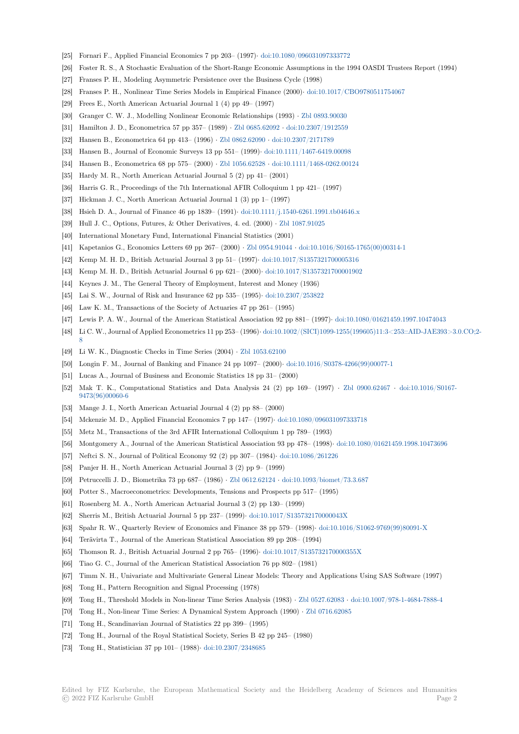- [25] Fornari F., Applied Financial Economics 7 pp 203– (1997)*·* doi:10.1080/096031097333772
- [26] Foster R. S., A Stochastic Evaluation of the Short-Range Economic Assumptions in the 1994 OASDI Trustees Report (1994)
- [27] Franses P. H., Modeling Asymmetric Persistence over the Business Cycle (1998)
- [28] Franses P. H., Nonlinear Time Series Models in Empirical Finance (2000)*·* doi:10.1017/CBO9780511754067
- [29] Frees E., North American Actuarial Journal 1 (4) pp 49– ([1997\)](https://dx.doi.org/10.1080/096031097333772)
- [30] Granger C. W. J., Modelling Nonlinear Economic Relationships (1993) *·* Zbl 0893.90030
- [31] Hamilton J. D., Econometrica 57 pp 357– (1989) *·* Zbl 0685.62092 *·* doi:10.2307/1912559
- [32] Hansen B., Econometrica 64 pp 413– (1996) *·* Zbl 0862.62090 *·* doi:10.2307[/2171789](https://dx.doi.org/10.1017/CBO9780511754067)
- [33] Hansen B., Journal of Economic Surveys 13 pp 551– (1999)*·* doi:10.1111/1467-6419.00098
- [34] Hansen B., Econometrica 68 pp 575– (2000) *·* Zbl 1056.62528 *·* doi:1[0.11](https://dx.doi.org/10.2307/1912559)[11/1468-0262.00](https://zbmath.org/0893.90030)124
- [35] Hardy M. R., North American Actuarial Journal5 [\(2\) pp 41– \(200](https://zbmath.org/0685.62092)1)
- [36] Harris G. R., Proceedings of the 7th Internati[onal AFIR Collo](https://zbmath.org/0862.62090)[quium 1 pp 421– \(199](https://dx.doi.org/10.2307/2171789)7)
- [37] Hickman J. C., North American Actuarial Journal 1 (3) pp [1– \(1997\)](https://dx.doi.org/10.1111/1467-6419.00098)
- [38] Hsieh D. A., Journal of Finance 46 pp 1839– (1991)*·* [doi:10.11](https://zbmath.org/1056.62528)1[1/j.1540-6261.1991.tb04646.x](https://dx.doi.org/10.1111/1468-0262.00124)
- [39] Hull J. C., Options, Futures, & Other Derivatives, 4. ed. (2000) *·* Zbl 1087.91025
- [40] International Monetary Fund, International Financial Statistics (2001)
- [41] Kapetanios G., Economics Letters 69 pp 267– (2000) *·* Zbl 0954.91044 *·* doi:10.1016/S0165-1765(00)00314-1
- [42] Kemp M. H. D., British Actuarial Journal 3 pp 51– (1997)*·* [doi:10.1017/S1357321700005316](https://dx.doi.org/10.1111/j.1540-6261.1991.tb04646.x)
- [43] Kemp M. H. D., British Actuarial Journal 6 pp 621– (2000)*·* doi:[10.1017/S135732](https://zbmath.org/1087.91025)1700001902
- [44] Keynes J. M., The General Theory of Employment, Interest and Money (1936)
- [45] Lai S. W., Journal of Risk and Insurance 62 pp 535– (1995)*·* [doi:10.23](https://zbmath.org/0954.91044)0[7/253822](https://dx.doi.org/10.1016/S0165-1765(00)00314-1)
- [46] Law K. M., Transactions of the Society of Actuaries 47 pp [261– \(1995\)](https://dx.doi.org/10.1017/S1357321700005316)
- [47] Lewis P. A. W., Journal of the American Statistical Associat[ion 92 pp 881– \(1997\)](https://dx.doi.org/10.1017/S1357321700001902)*·* doi:10.1080/01621459.1997.10474043
- [48] Li C. W., Journal of Applied Econometrics 11 pp 253– (1996)*·* [doi:10.1002/\(SICI\)10](https://dx.doi.org/10.2307/253822)99-1255(199605)11:3<253::AID-JAE393>3.0.CO;2- 8
- [49] Li W. K., Diagnostic Checks in Time Series (2004) *·* Zbl 1053.62100
- [50] Longin F. M., Journal of Banking and Finance 24 pp 1097– (2000)*·* doi:10.1016/S03[78-4266\(99\)00077-1](https://dx.doi.org/10.1080/01621459.1997.10474043)
- [51] Lucas A., Journal of Business and Economic Statistics 18 p[p 31– \(2000\)](https://dx.doi.org/10.1002/(SICI)1099-1255(199605)11:3<253::AID-JAE393>3.0.CO;2-8)
- [52] [M](https://dx.doi.org/10.1002/(SICI)1099-1255(199605)11:3<253::AID-JAE393>3.0.CO;2-8)ak T. K., Computational Statistics and Data A[nalysis 24 \(2\)](https://zbmath.org/1053.62100) pp 169– (1997) *·* Zbl 0900.62467 *·* doi:10.1016/S0167- 9473(96)00060-6
- [53] Mange J. I., North American Actuarial Journal 4 (2) pp 88– (2000)
- [54] Mckenzie M. D., Applied Financial Economics 7 pp 147– (1997)*·* doi:10.1080/096031097333718
- [55] Metz M., Transactions of the 3rd AFIR International Colloquium 1 pp 789– (1993)
- [56] [Montgomery A.,](https://dx.doi.org/10.1016/S0167-9473(96)00060-6) Journal of the American Statistical Association 93 pp 478– (1998)*·* doi:10.1080/01621459.1998.10473696
- [57] Neftci S. N., Journal of Political Economy 92 (2) pp 307– (1984)· doi:10.1086/261226
- [58] Panjer H. H., North American Actuarial Journal 3 (2) pp 9– (19[99\)](https://dx.doi.org/10.1080/096031097333718)
- [59] Petruccelli J. D., Biometrika 73 pp 687– (1986) *·* Zbl 0612.62124 *·* doi:10.1093/biom[et/73.3.687](https://dx.doi.org/10.1080/01621459.1998.10473696)
- [60] Potter S., Macroeconometrics: Developments, Tensions and Prospects pp 517– (1995)
- [61] Rosenberg M. A., North American Actuarial Journal 3 (2) pp 130 [\(1999\)](https://dx.doi.org/10.1086/261226)
- [62] Sherris M., British Actuarial Journal 5 pp 237– (1999)*·* doi:10.1017/S135732170000043X
- [63] Spahr R. W., Quarterly Review of Economics an[d Finance 38 pp](https://zbmath.org/0612.62124) 579– (1998)*·* [doi:10.1016/S106](https://dx.doi.org/10.1093/biomet/73.3.687)2-9769(99)80091-X
- [64] Terävirta T., Journal of the American Statistical Association 89 pp 208– (1994)
- [65] Thomson R. J., British Actuarial Journal 2 pp 765– (1996)*·* doi:10.1017/S135732170000355X
- [66] Tiao G. C., Journal of the American Statistical Associa[tion 76 pp 802– \(1981\)](https://dx.doi.org/10.1017/S135732170000043X)
- [67] Timm N. H., Univariate and Multivariate General Linear Models: Theory and [Applications Using SAS Software \(1](https://dx.doi.org/10.1016/S1062-9769(99)80091-X)997)
- [68] Tong H., Pattern Recognition and Signal Processing (1978)
- [69] Tong H., Threshold Models in Non-linear Time Series Analysis (1983) *·* [Zbl 0527.62083](https://dx.doi.org/10.1017/S135732170000355X) *·* doi:10.1007/978-1-4684-7888-4
- [70] Tong H., Non-linear Time Series: A Dynamical System Approach (1990) *·* Zbl 0716.62085
- [71] Tong H., Scandinavian Journal of Statistics 22 pp 399– (1995)
- [72] Tong H., Journal of the Royal Statistical Society, Series B 42 pp 245– ([1980\)](https://zbmath.org/0527.62083)
- [73] Tong H., Statistician 37 pp 101– (1988)*·* doi:10.2307/2348685